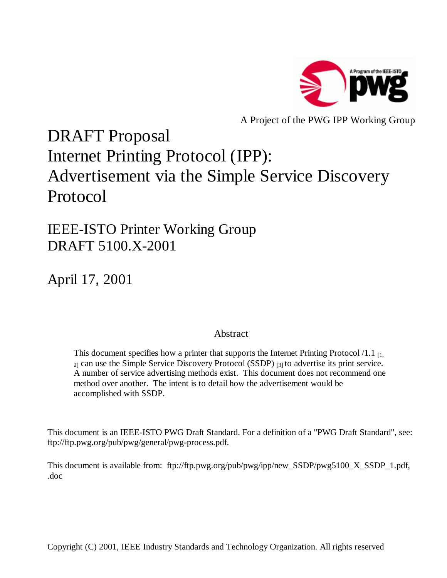

A Project of the PWG IPP Working Group

# DRAFT Proposal Internet Printing Protocol (IPP): Advertisement via the Simple Service Discovery Protocol

IEEE-ISTO Printer Working Group DRAFT 5100.X-2001

April 17, 2001

## Abstract

This document specifies how a printer that supports the Internet Printing Protocol  $/1.1_{\text{H}_{1}}$  $_{21}$  can use the Simple Service Discovery Protocol (SSDP)  $_{131}$  to advertise its print service. A number of service advertising methods exist. This document does not recommend one method over another. The intent is to detail how the advertisement would be accomplished with SSDP.

This document is an IEEE-ISTO PWG Draft Standard. For a definition of a "PWG Draft Standard", see: ftp://ftp.pwg.org/pub/pwg/general/pwg-process.pdf.

This document is available from: ftp://ftp.pwg.org/pub/pwg/ipp/new\_SSDP/pwg5100\_X\_SSDP\_1.pdf, .doc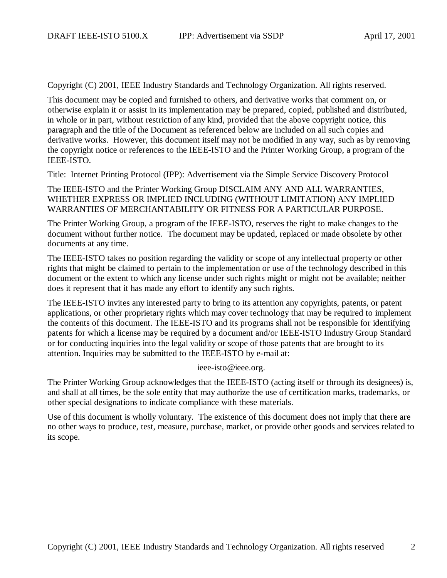Copyright (C) 2001, IEEE Industry Standards and Technology Organization. All rights reserved.

This document may be copied and furnished to others, and derivative works that comment on, or otherwise explain it or assist in its implementation may be prepared, copied, published and distributed, in whole or in part, without restriction of any kind, provided that the above copyright notice, this paragraph and the title of the Document as referenced below are included on all such copies and derivative works. However, this document itself may not be modified in any way, such as by removing the copyright notice or references to the IEEE-ISTO and the Printer Working Group, a program of the IEEE-ISTO.

Title: Internet Printing Protocol (IPP): Advertisement via the Simple Service Discovery Protocol

The IEEE-ISTO and the Printer Working Group DISCLAIM ANY AND ALL WARRANTIES, WHETHER EXPRESS OR IMPLIED INCLUDING (WITHOUT LIMITATION) ANY IMPLIED WARRANTIES OF MERCHANTABILITY OR FITNESS FOR A PARTICULAR PURPOSE.

The Printer Working Group, a program of the IEEE-ISTO, reserves the right to make changes to the document without further notice. The document may be updated, replaced or made obsolete by other documents at any time.

The IEEE-ISTO takes no position regarding the validity or scope of any intellectual property or other rights that might be claimed to pertain to the implementation or use of the technology described in this document or the extent to which any license under such rights might or might not be available; neither does it represent that it has made any effort to identify any such rights.

The IEEE-ISTO invites any interested party to bring to its attention any copyrights, patents, or patent applications, or other proprietary rights which may cover technology that may be required to implement the contents of this document. The IEEE-ISTO and its programs shall not be responsible for identifying patents for which a license may be required by a document and/or IEEE-ISTO Industry Group Standard or for conducting inquiries into the legal validity or scope of those patents that are brought to its attention. Inquiries may be submitted to the IEEE-ISTO by e-mail at:

#### ieee-isto@ieee.org.

The Printer Working Group acknowledges that the IEEE-ISTO (acting itself or through its designees) is, and shall at all times, be the sole entity that may authorize the use of certification marks, trademarks, or other special designations to indicate compliance with these materials.

Use of this document is wholly voluntary. The existence of this document does not imply that there are no other ways to produce, test, measure, purchase, market, or provide other goods and services related to its scope.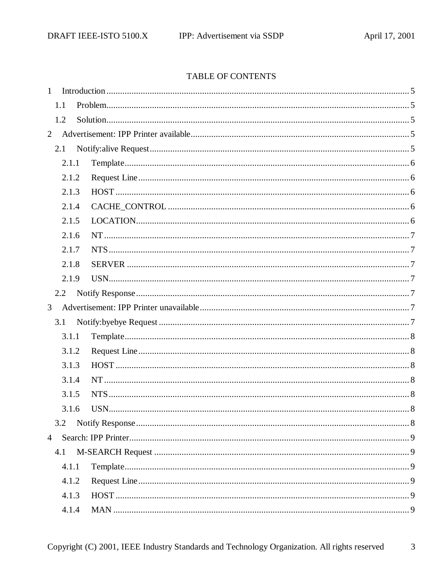## TABLE OF CONTENTS

| $\mathbf{1}$   |       |  |  |  |
|----------------|-------|--|--|--|
|                | 1.1   |  |  |  |
|                | 1.2   |  |  |  |
| $\overline{2}$ |       |  |  |  |
|                | 2.1   |  |  |  |
|                | 2.1.1 |  |  |  |
|                | 2.1.2 |  |  |  |
|                | 2.1.3 |  |  |  |
|                | 2.1.4 |  |  |  |
|                | 2.1.5 |  |  |  |
|                | 2.1.6 |  |  |  |
|                | 2.1.7 |  |  |  |
|                | 2.1.8 |  |  |  |
|                | 2.1.9 |  |  |  |
|                | 2.2   |  |  |  |
| 3              |       |  |  |  |
|                | 3.1   |  |  |  |
|                | 3.1.1 |  |  |  |
|                | 3.1.2 |  |  |  |
|                | 3.1.3 |  |  |  |
|                | 3.1.4 |  |  |  |
|                | 3.1.5 |  |  |  |
|                | 3.1.6 |  |  |  |
|                | 3.2   |  |  |  |
| $\overline{4}$ |       |  |  |  |
|                | 4.1   |  |  |  |
|                | 4.1.1 |  |  |  |
|                | 4.1.2 |  |  |  |
|                | 4.1.3 |  |  |  |
|                | 4.1.4 |  |  |  |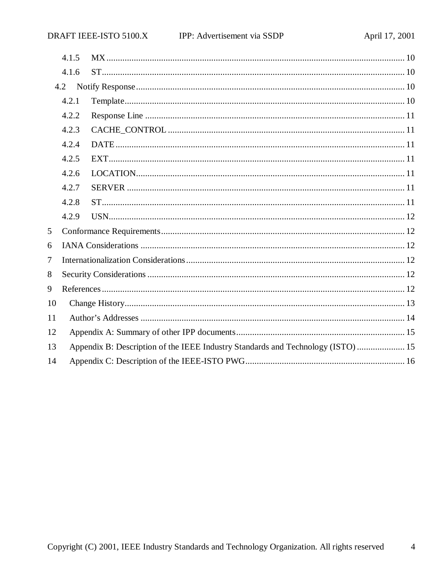|    | 4.1.5                                                                            |  |  |  |  |  |
|----|----------------------------------------------------------------------------------|--|--|--|--|--|
|    | 4.1.6                                                                            |  |  |  |  |  |
|    | 4.2                                                                              |  |  |  |  |  |
|    | 4.2.1                                                                            |  |  |  |  |  |
|    | 4.2.2                                                                            |  |  |  |  |  |
|    | 4.2.3                                                                            |  |  |  |  |  |
|    | 4.2.4                                                                            |  |  |  |  |  |
|    | 4.2.5                                                                            |  |  |  |  |  |
|    | 4.2.6                                                                            |  |  |  |  |  |
|    | 4.2.7                                                                            |  |  |  |  |  |
|    | 4.2.8                                                                            |  |  |  |  |  |
|    | 4.2.9                                                                            |  |  |  |  |  |
| 5  |                                                                                  |  |  |  |  |  |
| 6  |                                                                                  |  |  |  |  |  |
| 7  |                                                                                  |  |  |  |  |  |
| 8  |                                                                                  |  |  |  |  |  |
| 9  |                                                                                  |  |  |  |  |  |
| 10 |                                                                                  |  |  |  |  |  |
| 11 |                                                                                  |  |  |  |  |  |
| 12 |                                                                                  |  |  |  |  |  |
| 13 | Appendix B: Description of the IEEE Industry Standards and Technology (ISTO)  15 |  |  |  |  |  |
| 14 |                                                                                  |  |  |  |  |  |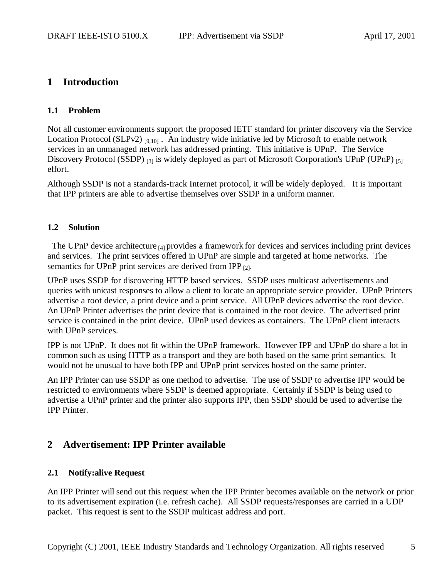# **1 Introduction**

#### **1.1 Problem**

Not all customer environments support the proposed IETF standard for printer discovery via the Service Location Protocol (SLPv2)  $_{[9,10]}$ . An industry wide initiative led by Microsoft to enable network services in an unmanaged network has addressed printing. This initiative is UPnP. The Service Discovery Protocol (SSDP) <sup>[3]</sup> is widely deployed as part of Microsoft Corporation's UPnP (UPnP) <sup>[5]</sup> effort.

Although SSDP is not a standards-track Internet protocol, it will be widely deployed. It is important that IPP printers are able to advertise themselves over SSDP in a uniform manner.

#### **1.2 Solution**

The UPnP device architecture  $_{[4]}$  provides a framework for devices and services including print devices and services. The print services offered in UPnP are simple and targeted at home networks. The semantics for UPnP print services are derived from IPP  $_{[2]}$ .

UPnP uses SSDP for discovering HTTP based services. SSDP uses multicast advertisements and queries with unicast responses to allow a client to locate an appropriate service provider. UPnP Printers advertise a root device, a print device and a print service. All UPnP devices advertise the root device. An UPnP Printer advertises the print device that is contained in the root device. The advertised print service is contained in the print device. UPnP used devices as containers. The UPnP client interacts with UPnP services.

IPP is not UPnP. It does not fit within the UPnP framework. However IPP and UPnP do share a lot in common such as using HTTP as a transport and they are both based on the same print semantics. It would not be unusual to have both IPP and UPnP print services hosted on the same printer.

An IPP Printer can use SSDP as one method to advertise. The use of SSDP to advertise IPP would be restricted to environments where SSDP is deemed appropriate. Certainly if SSDP is being used to advertise a UPnP printer and the printer also supports IPP, then SSDP should be used to advertise the IPP Printer.

# **2 Advertisement: IPP Printer available**

## **2.1 Notify:alive Request**

An IPP Printer will send out this request when the IPP Printer becomes available on the network or prior to its advertisement expiration (i.e. refresh cache). All SSDP requests/responses are carried in a UDP packet. This request is sent to the SSDP multicast address and port.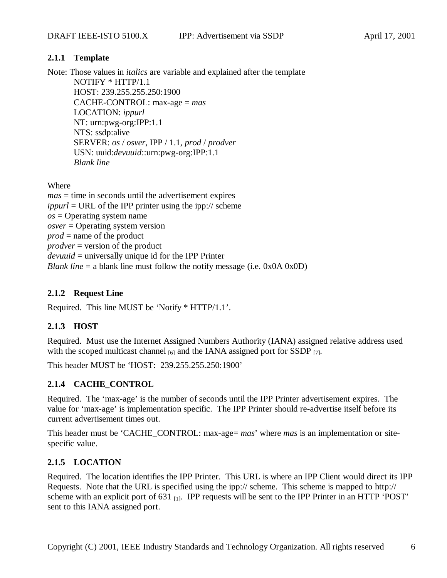#### **2.1.1 Template**

Note: Those values in *italics* are variable and explained after the template NOTIFY \* HTTP/1.1 HOST: 239.255.255.250:1900 CACHE-CONTROL: max-age = *mas* LOCATION: *ippurl* NT: urn:pwg-org:IPP:1.1 NTS: ssdp:alive SERVER: *os* / *osver*, IPP / 1.1, *prod* / *prodver* USN: uuid:*devuuid*::urn:pwg-org:IPP:1.1

Where

*mas* = time in seconds until the advertisement expires *ippurl* = URL of the IPP printer using the ipp:// scheme  $\cos$  = Operating system name *osver* = Operating system version *prod* = name of the product *prodver* = version of the product *devuuid* = universally unique id for the IPP Printer *Blank line* = a blank line must follow the notify message (i.e. 0x0A 0x0D)

### **2.1.2 Request Line**

*Blank line*

Required. This line MUST be 'Notify \* HTTP/1.1'.

## **2.1.3 HOST**

Required. Must use the Internet Assigned Numbers Authority (IANA) assigned relative address used with the scoped multicast channel  $_{[6]}$  and the IANA assigned port for SSDP  $_{[7]}$ .

This header MUST be 'HOST: 239.255.255.250:1900'

## **2.1.4 CACHE\_CONTROL**

Required. The 'max-age' is the number of seconds until the IPP Printer advertisement expires. The value for 'max-age' is implementation specific. The IPP Printer should re-advertise itself before its current advertisement times out.

This header must be 'CACHE\_CONTROL: max-age= *mas*' where *mas* is an implementation or sitespecific value.

#### **2.1.5 LOCATION**

Required. The location identifies the IPP Printer. This URL is where an IPP Client would direct its IPP Requests. Note that the URL is specified using the ipp:// scheme. This scheme is mapped to http:// scheme with an explicit port of  $631$   $_{[1]}$ . IPP requests will be sent to the IPP Printer in an HTTP 'POST' sent to this IANA assigned port.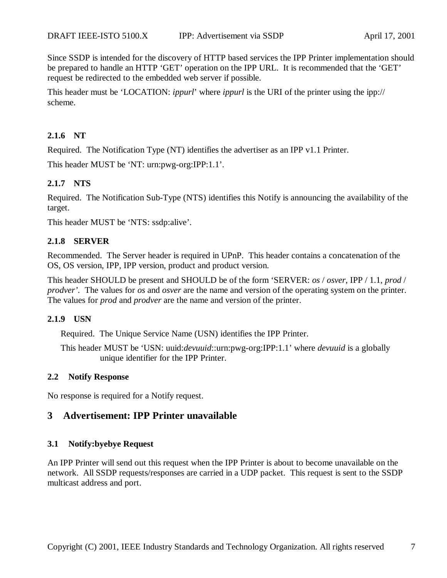Since SSDP is intended for the discovery of HTTP based services the IPP Printer implementation should be prepared to handle an HTTP 'GET' operation on the IPP URL. It is recommended that the 'GET' request be redirected to the embedded web server if possible.

This header must be 'LOCATION: *ippurl*' where *ippurl* is the URI of the printer using the ipp:// scheme.

#### **2.1.6 NT**

Required. The Notification Type (NT) identifies the advertiser as an IPP v1.1 Printer.

This header MUST be 'NT: urn:pwg-org:IPP:1.1'.

#### **2.1.7 NTS**

Required. The Notification Sub-Type (NTS) identifies this Notify is announcing the availability of the target.

This header MUST be 'NTS: ssdp:alive'.

#### **2.1.8 SERVER**

Recommended. The Server header is required in UPnP. This header contains a concatenation of the OS, OS version, IPP, IPP version, product and product version.

This header SHOULD be present and SHOULD be of the form 'SERVER: *os* / *osver*, IPP / 1.1, *prod* / *prodver'.* The values for *os* and *osver* are the name and version of the operating system on the printer. The values for *prod* and *prodver* are the name and version of the printer.

#### **2.1.9 USN**

Required. The Unique Service Name (USN) identifies the IPP Printer.

This header MUST be 'USN: uuid:*devuuid*::urn:pwg-org:IPP:1.1' where *devuuid* is a globally unique identifier for the IPP Printer.

#### **2.2 Notify Response**

No response is required for a Notify request.

# **3 Advertisement: IPP Printer unavailable**

#### **3.1 Notify:byebye Request**

An IPP Printer will send out this request when the IPP Printer is about to become unavailable on the network. All SSDP requests/responses are carried in a UDP packet. This request is sent to the SSDP multicast address and port.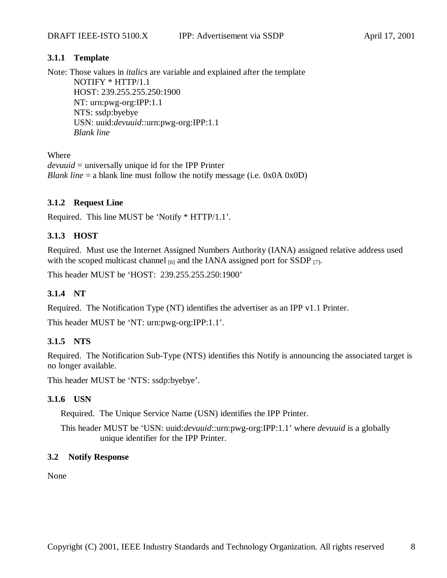#### **3.1.1 Template**

Note: Those values in *italics* are variable and explained after the template NOTIFY \* HTTP/1.1 HOST: 239.255.255.250:1900 NT: urn:pwg-org:IPP:1.1 NTS: ssdp:byebye USN: uuid:*devuuid*::urn:pwg-org:IPP:1.1 *Blank line*

Where

*devuuid* = universally unique id for the IPP Printer *Blank line* = a blank line must follow the notify message (i.e. 0x0A 0x0D)

#### **3.1.2 Request Line**

Required. This line MUST be 'Notify \* HTTP/1.1'.

# **3.1.3 HOST**

Required. Must use the Internet Assigned Numbers Authority (IANA) assigned relative address used with the scoped multicast channel  $_{[6]}$  and the IANA assigned port for SSDP  $_{[7]}$ .

This header MUST be 'HOST: 239.255.255.250:1900'

## **3.1.4 NT**

Required. The Notification Type (NT) identifies the advertiser as an IPP v1.1 Printer.

This header MUST be 'NT: urn:pwg-org:IPP:1.1'.

#### **3.1.5 NTS**

Required. The Notification Sub-Type (NTS) identifies this Notify is announcing the associated target is no longer available.

This header MUST be 'NTS: ssdp:byebye'.

#### **3.1.6 USN**

Required. The Unique Service Name (USN) identifies the IPP Printer.

This header MUST be 'USN: uuid:*devuuid*::urn:pwg-org:IPP:1.1' where *devuuid* is a globally unique identifier for the IPP Printer.

#### **3.2 Notify Response**

None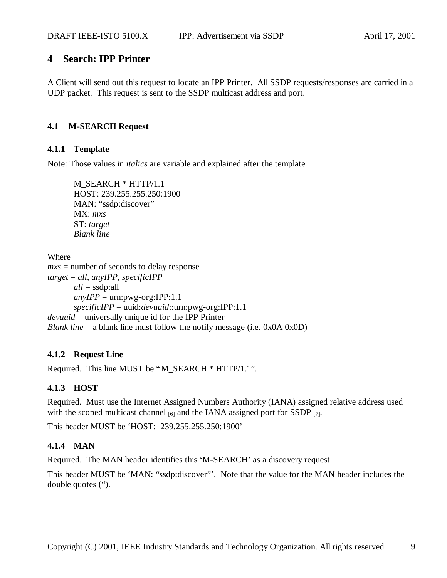# **4 Search: IPP Printer**

A Client will send out this request to locate an IPP Printer. All SSDP requests/responses are carried in a UDP packet. This request is sent to the SSDP multicast address and port.

## **4.1 M-SEARCH Request**

#### **4.1.1 Template**

Note: Those values in *italics* are variable and explained after the template

M\_SEARCH \* HTTP/1.1 HOST: 239.255.255.250:1900 MAN: "ssdp:discover" MX: *mxs* ST: *target Blank line*

Where *mxs* = number of seconds to delay response *target* = *all*, *anyIPP*, *specificIPP all* = ssdp:all  $anyIPP = urn: pwg-org:IPP:1.1$ *specificIPP* = uuid:*devuuid*::urn:pwg-org:IPP:1.1 *devuuid* = universally unique id for the IPP Printer *Blank line* = a blank line must follow the notify message (i.e. 0x0A 0x0D)

## **4.1.2 Request Line**

Required. This line MUST be "M\_SEARCH \* HTTP/1.1".

## **4.1.3 HOST**

Required. Must use the Internet Assigned Numbers Authority (IANA) assigned relative address used with the scoped multicast channel  $_{[6]}$  and the IANA assigned port for SSDP  $_{[7]}$ .

This header MUST be 'HOST: 239.255.255.250:1900'

## **4.1.4 MAN**

Required. The MAN header identifies this 'M-SEARCH' as a discovery request.

This header MUST be 'MAN: "ssdp:discover"'. Note that the value for the MAN header includes the double quotes (").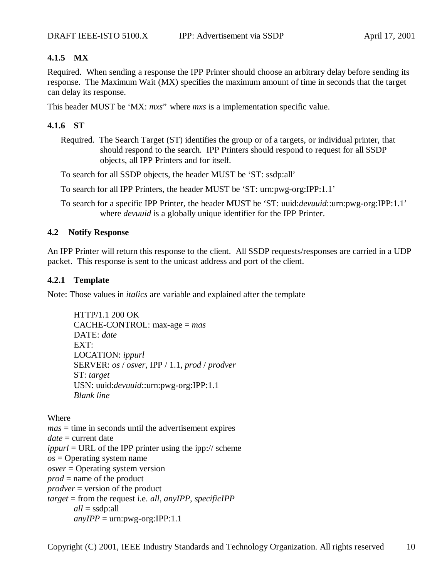#### **4.1.5 MX**

Required. When sending a response the IPP Printer should choose an arbitrary delay before sending its response. The Maximum Wait (MX) specifies the maximum amount of time in seconds that the target can delay its response.

This header MUST be 'MX: *mxs*" where *mxs* is a implementation specific value.

#### **4.1.6 ST**

Required. The Search Target (ST) identifies the group or of a targets, or individual printer, that should respond to the search. IPP Printers should respond to request for all SSDP objects, all IPP Printers and for itself.

To search for all SSDP objects, the header MUST be 'ST: ssdp:all'

To search for all IPP Printers, the header MUST be 'ST: urn:pwg-org:IPP:1.1'

To search for a specific IPP Printer, the header MUST be 'ST: uuid:*devuuid*::urn:pwg-org:IPP:1.1' where *devuuid* is a globally unique identifier for the IPP Printer.

#### **4.2 Notify Response**

An IPP Printer will return this response to the client. All SSDP requests/responses are carried in a UDP packet. This response is sent to the unicast address and port of the client.

#### **4.2.1 Template**

Note: Those values in *italics* are variable and explained after the template

HTTP/1.1 200 OK CACHE-CONTROL: max-age = *mas* DATE: *date* EXT: LOCATION: *ippurl* SERVER: *os* / *osver*, IPP / 1.1, *prod* / *prodver* ST: *target* USN: uuid:*devuuid*::urn:pwg-org:IPP:1.1 *Blank line*

Where

*mas* = time in seconds until the advertisement expires *date* = current date *ippurl* = URL of the IPP printer using the ipp:// scheme  $\cos$  = Operating system name *osver* = Operating system version *prod* = name of the product *prodver* = version of the product *target* = from the request i.e. *all*, *anyIPP*, *specificIPP all* = ssdp:all  $anyIPP = urn: pwg-org:IPP:1.1$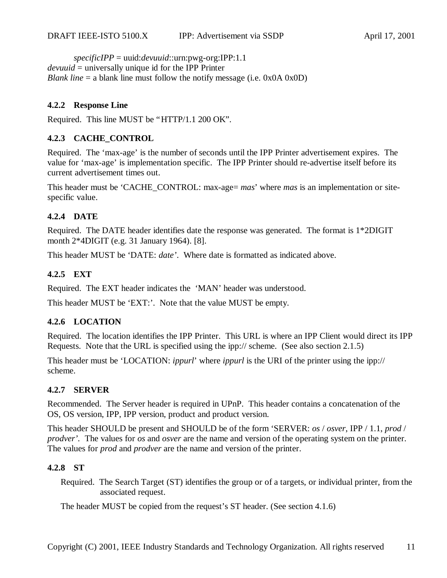*specificIPP* = uuid:*devuuid*::urn:pwg-org:IPP:1.1 *devuuid* = universally unique id for the IPP Printer *Blank line*  $=$  a blank line must follow the notify message (i.e. 0x0A 0x0D)

#### **4.2.2 Response Line**

Required. This line MUST be "HTTP/1.1 200 OK".

#### **4.2.3 CACHE\_CONTROL**

Required. The 'max-age' is the number of seconds until the IPP Printer advertisement expires. The value for 'max-age' is implementation specific. The IPP Printer should re-advertise itself before its current advertisement times out.

This header must be 'CACHE\_CONTROL: max-age= *mas*' where *mas* is an implementation or sitespecific value.

#### **4.2.4 DATE**

Required. The DATE header identifies date the response was generated. The format is 1\*2DIGIT month 2\*4DIGIT (e.g. 31 January 1964). [8].

This header MUST be 'DATE: *date'*. Where date is formatted as indicated above.

#### **4.2.5 EXT**

Required. The EXT header indicates the 'MAN' header was understood.

This header MUST be 'EXT:'. Note that the value MUST be empty.

#### **4.2.6 LOCATION**

Required. The location identifies the IPP Printer. This URL is where an IPP Client would direct its IPP Requests. Note that the URL is specified using the ipp:// scheme. (See also section 2.1.5)

This header must be 'LOCATION: *ippurl*' where *ippurl* is the URI of the printer using the ipp:// scheme.

#### **4.2.7 SERVER**

Recommended. The Server header is required in UPnP. This header contains a concatenation of the OS, OS version, IPP, IPP version, product and product version.

This header SHOULD be present and SHOULD be of the form 'SERVER: *os* / *osver*, IPP / 1.1, *prod* / *prodver'.* The values for *os* and *osver* are the name and version of the operating system on the printer. The values for *prod* and *prodver* are the name and version of the printer.

#### **4.2.8 ST**

Required. The Search Target (ST) identifies the group or of a targets, or individual printer, from the associated request.

The header MUST be copied from the request's ST header. (See section 4.1.6)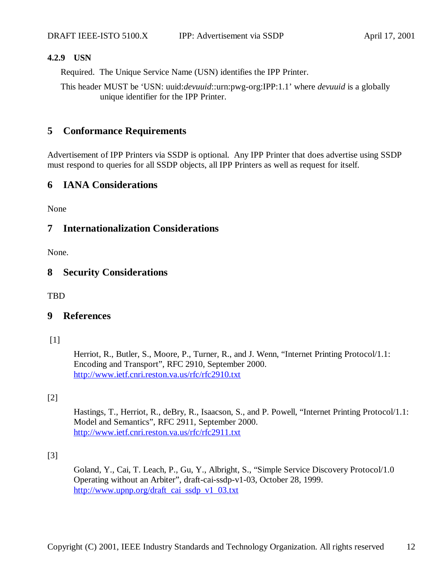#### **4.2.9 USN**

Required. The Unique Service Name (USN) identifies the IPP Printer.

This header MUST be 'USN: uuid:*devuuid*::urn:pwg-org:IPP:1.1' where *devuuid* is a globally unique identifier for the IPP Printer.

#### **5 Conformance Requirements**

Advertisement of IPP Printers via SSDP is optional. Any IPP Printer that does advertise using SSDP must respond to queries for all SSDP objects, all IPP Printers as well as request for itself.

#### **6 IANA Considerations**

None

#### **7 Internationalization Considerations**

None.

#### **8 Security Considerations**

TBD

#### **9 References**

[1]

Herriot, R., Butler, S., Moore, P., Turner, R., and J. Wenn, "Internet Printing Protocol/1.1: Encoding and Transport", RFC 2910, September 2000. http://www.ietf.cnri.reston.va.us/rfc/rfc2910.txt

#### [2]

Hastings, T., Herriot, R., deBry, R., Isaacson, S., and P. Powell, "Internet Printing Protocol/1.1: Model and Semantics", RFC 2911, September 2000. http://www.ietf.cnri.reston.va.us/rfc/rfc2911.txt

[3]

Goland, Y., Cai, T. Leach, P., Gu, Y., Albright, S., "Simple Service Discovery Protocol/1.0 Operating without an Arbiter", draft-cai-ssdp-v1-03, October 28, 1999. http://www.upnp.org/draft\_cai\_ssdp\_v1\_03.txt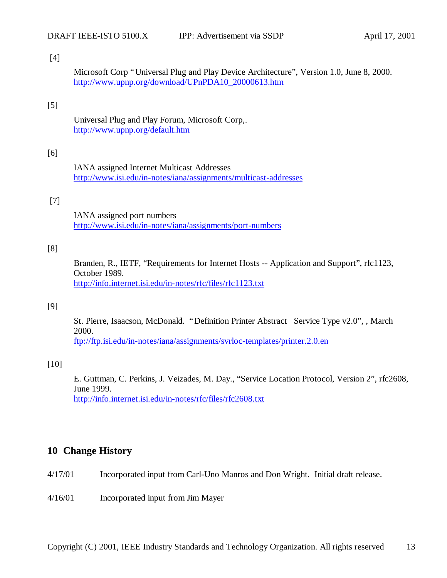#### [4]

Microsoft Corp "Universal Plug and Play Device Architecture", Version 1.0, June 8, 2000. http://www.upnp.org/download/UPnPDA10\_20000613.htm

### [5]

Universal Plug and Play Forum, Microsoft Corp,. http://www.upnp.org/default.htm

#### [6]

IANA assigned Internet Multicast Addresses http://www.isi.edu/in-notes/iana/assignments/multicast-addresses

#### [7]

IANA assigned port numbers http://www.isi.edu/in-notes/iana/assignments/port-numbers

#### [8]

Branden, R., IETF, "Requirements for Internet Hosts -- Application and Support", rfc1123, October 1989. http://info.internet.isi.edu/in-notes/rfc/files/rfc1123.txt

#### [9]

St. Pierre, Isaacson, McDonald. "Definition Printer Abstract Service Type v2.0", , March 2000. ftp://ftp.isi.edu/in-notes/iana/assignments/svrloc-templates/printer.2.0.en

#### [10]

E. Guttman, C. Perkins, J. Veizades, M. Day., "Service Location Protocol, Version 2", rfc2608, June 1999. http://info.internet.isi.edu/in-notes/rfc/files/rfc2608.txt

## **10 Change History**

- 4/17/01 Incorporated input from Carl-Uno Manros and Don Wright. Initial draft release.
- 4/16/01 Incorporated input from Jim Mayer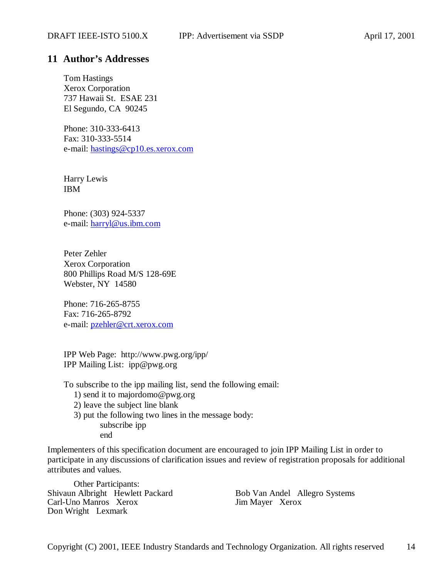### **11 Author's Addresses**

Tom Hastings Xerox Corporation 737 Hawaii St. ESAE 231 El Segundo, CA 90245

Phone: 310-333-6413 Fax: 310-333-5514 e-mail: hastings@cp10.es.xerox.com

Harry Lewis IBM

Phone: (303) 924-5337 e-mail: harryl@us.ibm.com

Peter Zehler Xerox Corporation 800 Phillips Road M/S 128-69E Webster, NY 14580

Phone: 716-265-8755 Fax: 716-265-8792 e-mail: pzehler@crt.xerox.com

IPP Web Page: http://www.pwg.org/ipp/ IPP Mailing List: ipp@pwg.org

To subscribe to the ipp mailing list, send the following email:

1) send it to majordomo@pwg.org

2) leave the subject line blank

3) put the following two lines in the message body: subscribe ipp

end

Implementers of this specification document are encouraged to join IPP Mailing List in order to participate in any discussions of clarification issues and review of registration proposals for additional attributes and values.

Other Participants: Shivaun Albright Hewlett Packard Bob Van Andel Allegro Systems Carl-Uno Manros Xerox Jim Mayer Xerox Don Wright Lexmark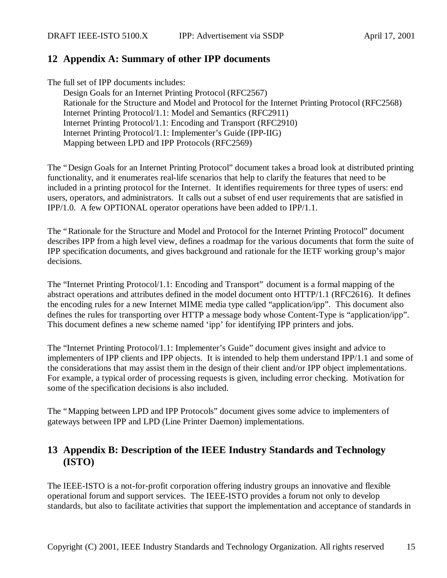# **12 Appendix A: Summary of other IPP documents**

The full set of IPP documents includes:

Design Goals for an Internet Printing Protocol (RFC2567) Rationale for the Structure and Model and Protocol for the Internet Printing Protocol (RFC2568) Internet Printing Protocol/1.1: Model and Semantics (RFC2911) Internet Printing Protocol/1.1: Encoding and Transport (RFC2910) Internet Printing Protocol/1.1: Implementer's Guide (IPP-IIG) Mapping between LPD and IPP Protocols (RFC2569)

The "Design Goals for an Internet Printing Protocol" document takes a broad look at distributed printing functionality, and it enumerates real-life scenarios that help to clarify the features that need to be included in a printing protocol for the Internet. It identifies requirements for three types of users: end users, operators, and administrators. It calls out a subset of end user requirements that are satisfied in IPP/1.0. A few OPTIONAL operator operations have been added to IPP/1.1.

The "Rationale for the Structure and Model and Protocol for the Internet Printing Protocol" document describes IPP from a high level view, defines a roadmap for the various documents that form the suite of IPP specification documents, and gives background and rationale for the IETF working group's major decisions.

The "Internet Printing Protocol/1.1: Encoding and Transport" document is a formal mapping of the abstract operations and attributes defined in the model document onto HTTP/1.1 (RFC2616). It defines the encoding rules for a new Internet MIME media type called "application/ipp". This document also defines the rules for transporting over HTTP a message body whose Content-Type is "application/ipp". This document defines a new scheme named 'ipp' for identifying IPP printers and jobs.

The "Internet Printing Protocol/1.1: Implementer's Guide" document gives insight and advice to implementers of IPP clients and IPP objects. It is intended to help them understand IPP/1.1 and some of the considerations that may assist them in the design of their client and/or IPP object implementations. For example, a typical order of processing requests is given, including error checking. Motivation for some of the specification decisions is also included.

The "Mapping between LPD and IPP Protocols" document gives some advice to implementers of gateways between IPP and LPD (Line Printer Daemon) implementations.

# **13 Appendix B: Description of the IEEE Industry Standards and Technology (ISTO)**

The IEEE-ISTO is a not-for-profit corporation offering industry groups an innovative and flexible operational forum and support services. The IEEE-ISTO provides a forum not only to develop standards, but also to facilitate activities that support the implementation and acceptance of standards in